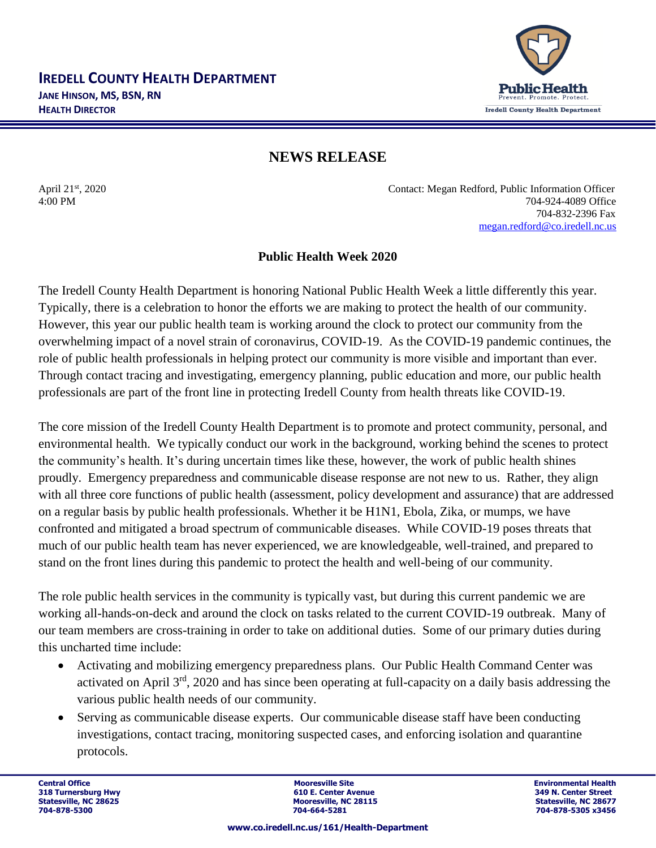

## **NEWS RELEASE**

April 21st, 2020 Contact: Megan Redford, Public Information Officer 4:00 PM 704-924-4089 Office 704-832-2396 Fax [megan.redford@co.iredell.nc.us](mailto:megan.redford@co.iredell.nc.us)

## **Public Health Week 2020**

The Iredell County Health Department is honoring National Public Health Week a little differently this year. Typically, there is a celebration to honor the efforts we are making to protect the health of our community. However, this year our public health team is working around the clock to protect our community from the overwhelming impact of a novel strain of coronavirus, COVID-19. As the COVID-19 pandemic continues, the role of public health professionals in helping protect our community is more visible and important than ever. Through contact tracing and investigating, emergency planning, public education and more, our public health professionals are part of the front line in protecting Iredell County from health threats like COVID-19.

The core mission of the Iredell County Health Department is to promote and protect community, personal, and environmental health. We typically conduct our work in the background, working behind the scenes to protect the community's health. It's during uncertain times like these, however, the work of public health shines proudly. Emergency preparedness and communicable disease response are not new to us. Rather, they align with all three core functions of public health (assessment, policy development and assurance) that are addressed on a regular basis by public health professionals. Whether it be H1N1, Ebola, Zika, or mumps, we have confronted and mitigated a broad spectrum of communicable diseases. While COVID-19 poses threats that much of our public health team has never experienced, we are knowledgeable, well-trained, and prepared to stand on the front lines during this pandemic to protect the health and well-being of our community.

The role public health services in the community is typically vast, but during this current pandemic we are working all-hands-on-deck and around the clock on tasks related to the current COVID-19 outbreak. Many of our team members are cross-training in order to take on additional duties. Some of our primary duties during this uncharted time include:

- Activating and mobilizing emergency preparedness plans. Our Public Health Command Center was activated on April 3rd, 2020 and has since been operating at full-capacity on a daily basis addressing the various public health needs of our community.
- Serving as communicable disease experts. Our communicable disease staff have been conducting investigations, contact tracing, monitoring suspected cases, and enforcing isolation and quarantine protocols.

**Central Office Mooresville Site Environmental Health 318 Turnersburg Hwy 1988 1998 1999 1999 1999 1999 1999 10:31 1999 1999 10:42 11:42 11:42 11:42 11:42 11:42 11:42 11:42 11:42 11:42 11:42 11:42 11:42 11:42 11:42 11:42 11:42 11:42 11:42 11:42 11:42 11:42 11:42 11:42 11:42 Statesville, NC 28115**<br> **Statesville, NC 28677**<br> **Statesville, NC 28677**<br> **STATES 28156**<br> **STATES 28456 704-878-5300 704-664-5281 704-878-5305 x3456**